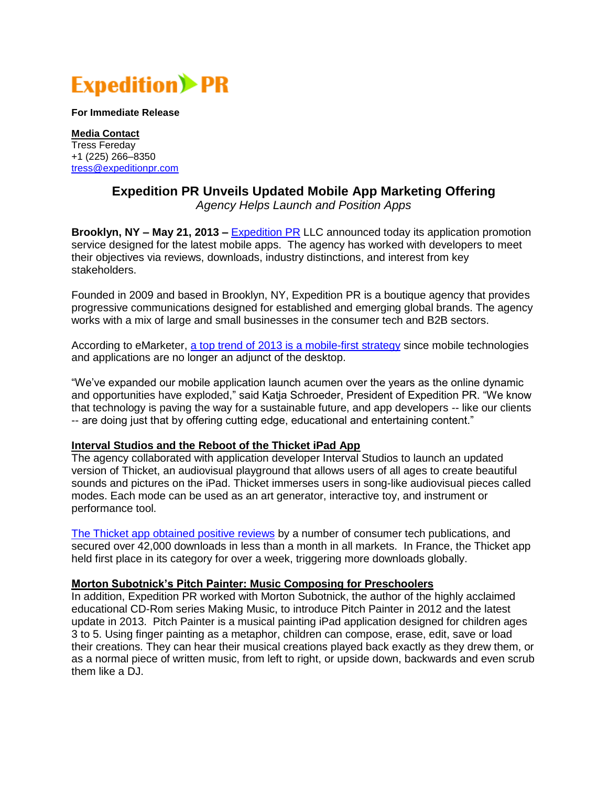

**For Immediate Release**

**Media Contact** Tress Fereday +1 (225) 266–8350 [tress@expeditionpr.com](mailto:tress@expeditionpr.com)

## **Expedition PR Unveils Updated Mobile App Marketing Offering**

*Agency Helps Launch and Position Apps*

**Brooklyn, NY – May 21, 2013 –** [Expedition PR](http://www.expeditionpr.com/) LLC announced today its application promotion service designed for the latest mobile apps. The agency has worked with developers to meet their objectives via reviews, downloads, industry distinctions, and interest from key stakeholders.

Founded in 2009 and based in Brooklyn, NY, Expedition PR is a boutique agency that provides progressive communications designed for established and emerging global brands. The agency works with a mix of large and small businesses in the consumer tech and B2B sectors.

According to eMarketer, [a top trend of 2013 is a mobile-first strategy](http://www.emarketer.com/Article/Trends-2013-Making-Mobile-First-Priority/1009503) since mobile technologies and applications are no longer an adjunct of the desktop.

"We've expanded our mobile application launch acumen over the years as the online dynamic and opportunities have exploded," said Katja Schroeder, President of Expedition PR. "We know that technology is paving the way for a sustainable future, and app developers -- like our clients -- are doing just that by offering cutting edge, educational and entertaining content."

## **Interval Studios and the Reboot of the Thicket iPad App**

The agency collaborated with application developer Interval Studios to launch an updated version of Thicket, an audiovisual playground that allows users of all ages to create beautiful sounds and pictures on the iPad. Thicket immerses users in song-like audiovisual pieces called modes. Each mode can be used as an art generator, interactive toy, and instrument or performance tool.

[The Thicket app obtained positive reviews](http://www.expeditionpr.com/clients/interval-studios-thicket/) by a number of consumer tech publications, and secured over 42,000 downloads in less than a month in all markets. In France, the Thicket app held first place in its category for over a week, triggering more downloads globally.

## **Morton Subotnick's Pitch Painter: Music Composing for Preschoolers**

In addition, Expedition PR worked with Morton Subotnick, the author of the highly acclaimed educational CD-Rom series Making Music, to introduce Pitch Painter in 2012 and the latest update in 2013. Pitch Painter is a musical painting iPad application designed for children ages 3 to 5. Using finger painting as a metaphor, children can compose, erase, edit, save or load their creations. They can hear their musical creations played back exactly as they drew them, or as a normal piece of written music, from left to right, or upside down, backwards and even scrub them like a DJ.